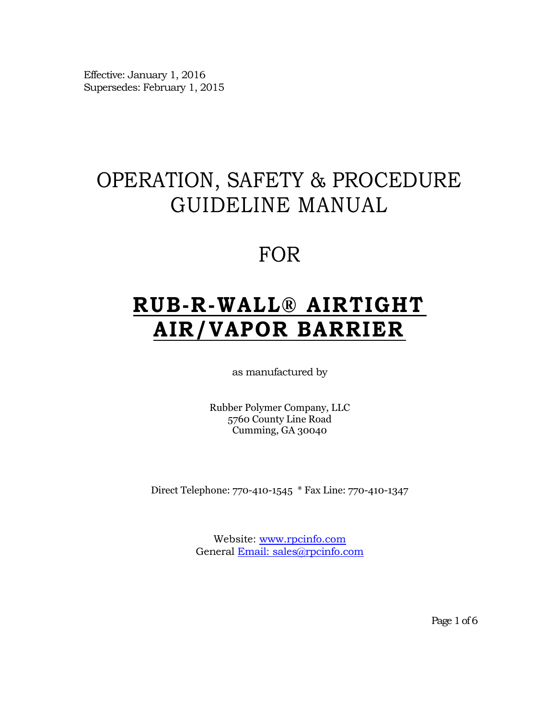Effective: January 1, 2016 Supersedes: February 1, 2015

# OPERATION, SAFETY & PROCEDURE GUIDELINE MANUAL

# FOR

# **RUB -R -WALL® AIRTIGHT AIR/VAPOR BARRIER**

as manufactured by

Rubber Polymer Company, LLC 5760 County Line Road Cumming, GA 30040

Direct Telephone: 770-410-1545 \* Fax Line: 770-410-1347

Website: [www.rpcinfo.com](http://www.rpcinfo.com/) General [Email:](mailto:Email:) sales@rpcinfo.com

Page 1 of 6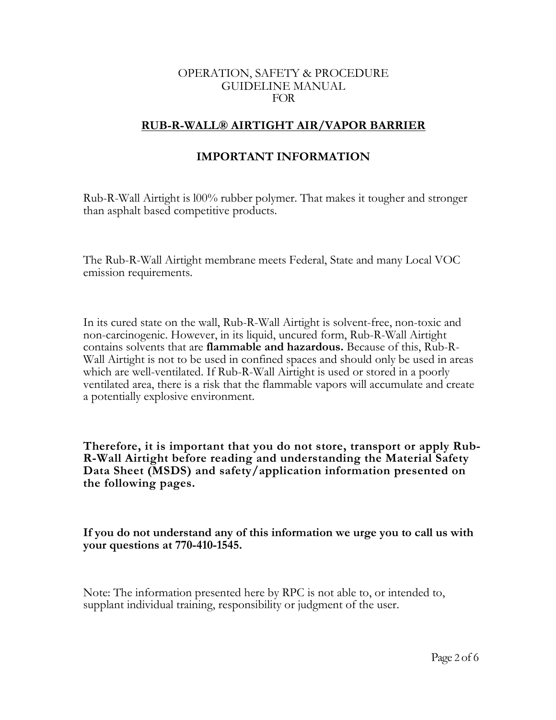#### OPERATION, SAFETY & PROCEDURE GUIDELINE MANUAL FOR

#### **RUB-R-WALL® AIRTIGHT AIR/VAPOR BARRIER**

#### **IMPORTANT INFORMATION**

Rub-R-Wall Airtight is l00% rubber polymer. That makes it tougher and stronger than asphalt based competitive products.

The Rub-R-Wall Airtight membrane meets Federal, State and many Local VOC emission requirements.

In its cured state on the wall, Rub-R-Wall Airtight is solvent-free, non-toxic and non-carcinogenic. However, in its liquid, uncured form, Rub-R-Wall Airtight contains solvents that are **flammable and hazardous.** Because of this, Rub-R-Wall Airtight is not to be used in confined spaces and should only be used in areas which are well-ventilated. If Rub-R-Wall Airtight is used or stored in a poorly ventilated area, there is a risk that the flammable vapors will accumulate and create a potentially explosive environment.

**Therefore, it is important that you do not store, transport or apply Rub-R-Wall Airtight before reading and understanding the Material Safety Data Sheet (MSDS) and safety/application information presented on the following pages.**

**If you do not understand any of this information we urge you to call us with your questions at 770-410-1545.**

Note: The information presented here by RPC is not able to, or intended to, supplant individual training, responsibility or judgment of the user.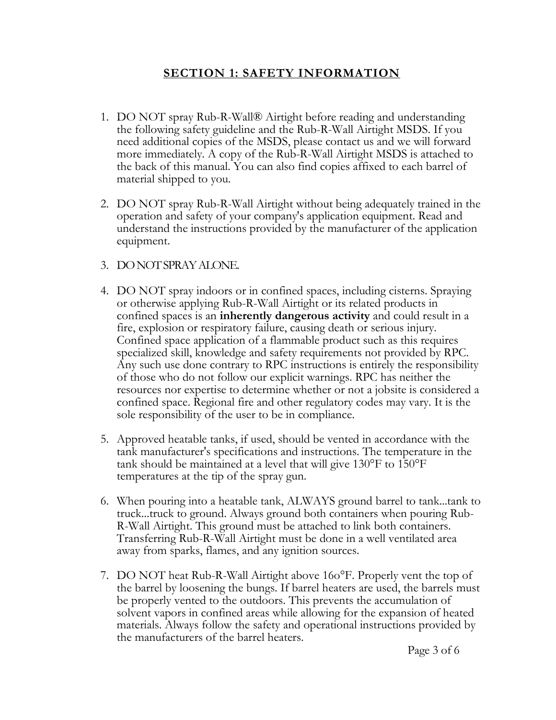### **SECTION 1: SAFETY INFORMATION**

- 1. DO NOT spray Rub-R-Wall® Airtight before reading and understanding the following safety guideline and the Rub-R-Wall Airtight MSDS. If you need additional copies of the MSDS, please contact us and we will forward more immediately. A copy of the Rub-R-Wall Airtight MSDS is attached to the back of this manual. You can also find copies affixed to each barrel of material shipped to you.
- 2. DO NOT spray Rub-R-Wall Airtight without being adequately trained in the operation and safety of your company's application equipment. Read and understand the instructions provided by the manufacturer of the application equipment.
- 3. DONOTSPRAYALONE.
- 4. DO NOT spray indoors or in confined spaces, including cisterns. Spraying or otherwise applying Rub-R-Wall Airtight or its related products in confined spaces is an **inherently dangerous activity** and could result in a fire, explosion or respiratory failure, causing death or serious injury. Confined space application of a flammable product such as this requires specialized skill, knowledge and safety requirements not provided by RPC. Any such use done contrary to RPC instructions is entirely the responsibility of those who do not follow our explicit warnings. RPC has neither the resources nor expertise to determine whether or not a jobsite is considered a confined space. Regional fire and other regulatory codes may vary. It is the sole responsibility of the user to be in compliance.
- 5. Approved heatable tanks, if used, should be vented in accordance with the tank manufacturer's specifications and instructions. The temperature in the tank should be maintained at a level that will give 130°F to 150°F temperatures at the tip of the spray gun.
- 6. When pouring into a heatable tank, ALWAYS ground barrel to tank...tank to truck...truck to ground. Always ground both containers when pouring Rub-R-Wall Airtight. This ground must be attached to link both containers. Transferring Rub-R-Wall Airtight must be done in a well ventilated area away from sparks, flames, and any ignition sources.
- 7. DO NOT heat Rub-R-Wall Airtight above 16o°F. Properly vent the top of the barrel by loosening the bungs. If barrel heaters are used, the barrels must be properly vented to the outdoors. This prevents the accumulation of solvent vapors in confined areas while allowing for the expansion of heated materials. Always follow the safety and operational instructions provided by the manufacturers of the barrel heaters.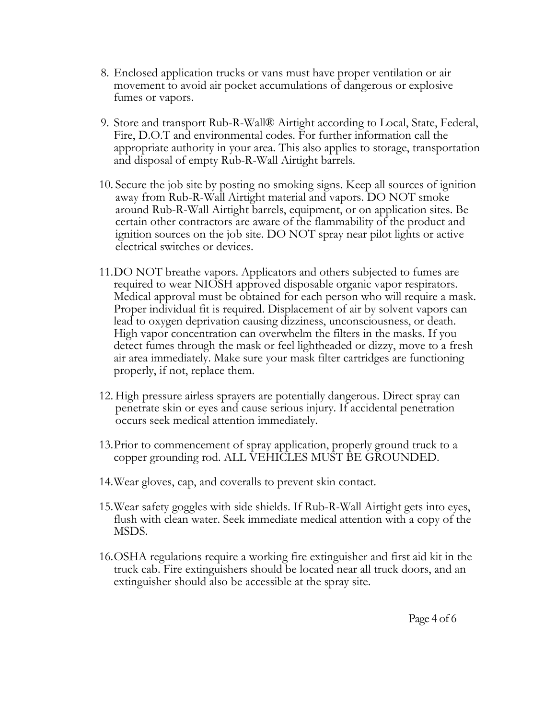- 8. Enclosed application trucks or vans must have proper ventilation or air movement to avoid air pocket accumulations of dangerous or explosive fumes or vapors.
- 9. Store and transport Rub-R-Wall® Airtight according to Local, State, Federal, Fire, D.O.T and environmental codes. For further information call the appropriate authority in your area. This also applies to storage, transportation and disposal of empty Rub-R-Wall Airtight barrels.
- 10. Secure the job site by posting no smoking signs. Keep all sources of ignition away from Rub-R-Wall Airtight material and vapors. DO NOT smoke around Rub-R-Wall Airtight barrels, equipment, or on application sites. Be certain other contractors are aware of the flammability of the product and ignition sources on the job site. DO NOT spray near pilot lights or active electrical switches or devices.
- 11.DO NOT breathe vapors. Applicators and others subjected to fumes are required to wear NIOSH approved disposable organic vapor respirators. Medical approval must be obtained for each person who will require a mask. Proper individual fit is required. Displacement of air by solvent vapors can lead to oxygen deprivation causing dizziness, unconsciousness, or death. High vapor concentration can overwhelm the filters in the masks. If you detect fumes through the mask or feel lightheaded or dizzy, move to a fresh air area immediately. Make sure your mask filter cartridges are functioning properly, if not, replace them.
- 12. High pressure airless sprayers are potentially dangerous. Direct spray can penetrate skin or eyes and cause serious injury. If accidental penetration occurs seek medical attention immediately.
- 13.Prior to commencement of spray application, properly ground truck to a copper grounding rod. ALL VEHICLES MUST BE GROUNDED.
- 14.Wear gloves, cap, and coveralls to prevent skin contact.
- 15.Wear safety goggles with side shields. If Rub-R-Wall Airtight gets into eyes, flush with clean water. Seek immediate medical attention with a copy of the MSDS.
- 16.OSHA regulations require a working fire extinguisher and first aid kit in the truck cab. Fire extinguishers should be located near all truck doors, and an extinguisher should also be accessible at the spray site.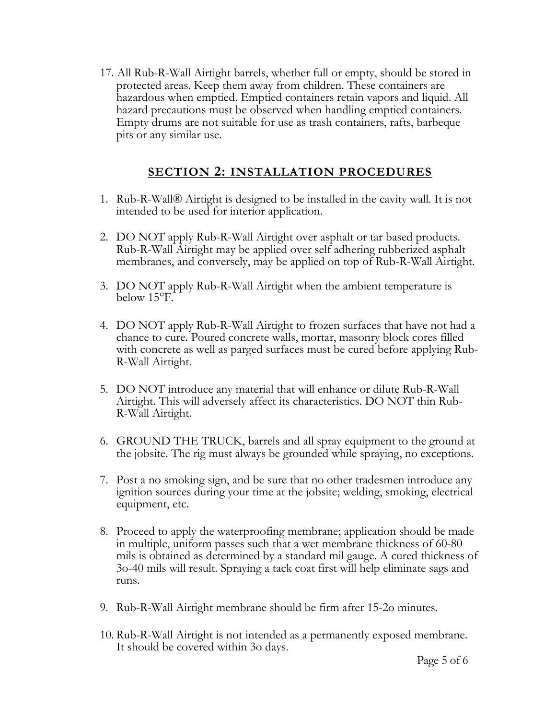17. All Rub-R-Wall Airtight barrels, whether full or empty, should be stored in protected areas. Keep them away from children. These containers are hazardous when emptied. Emptied containers retain vapors and liquid. All hazard precautions must be observed when handling emptied containers. Empty drums are not suitable for use as trash containers, rafts, barbeque pits or any similar use.

## **SECTION 2: INSTALLATION PROCEDURES**

- 1. Rub-R-Wall® Airtight is designed to be installed in the cavity wall. It is not intended to be used for interior application.
- 2. DO NOT apply Rub-R-Wall Airtight over asphalt or tar based products. Rub-R-Wall Airtight may be applied over self adhering rubberized asphalt membranes, and conversely, may be applied on top of Rub-R-Wall Airtight.
- 3. DO NOT apply Rub-R-Wall Airtight when the ambient temperature is below 15°F.
- 4. DO NOT apply Rub-R-Wall Airtight to frozen surfaces that have not had a chance to cure. Poured concrete walls, mortar, masonry block cores filled with concrete as well as parged surfaces must be cured before applying Rub-R-Wall Airtight.
- 5. DO NOT introduce any material that will enhance or dilute Rub-R-Wall Airtight. This will adversely affect its characteristics. DO NOT thin Rub-R-Wall Airtight.
- 6. GROUND THE TRUCK, barrels and all spray equipment to the ground at the jobsite. The rig must always be grounded while spraying, no exceptions.
- 7. Post a no smoking sign, and be sure that no other tradesmen introduce any ignition sources during your time at the jobsite; welding, smoking, electrical equipment, etc.
- 8. Proceed to apply the waterproofing membrane; application should be made in multiple, uniform passes such that a wet membrane thickness of 60-80 mils is obtained as determined by a standard mil gauge. A cured thickness of 3o-40 mils will result. Spraying a tack coat first will help eliminate sags and runs.
- 9. Rub-R-Wall Airtight membrane should be firm after 15-2o minutes.
- 10. Rub-R-Wall Airtight is not intended as a permanently exposed membrane. It should be covered within 3o days.